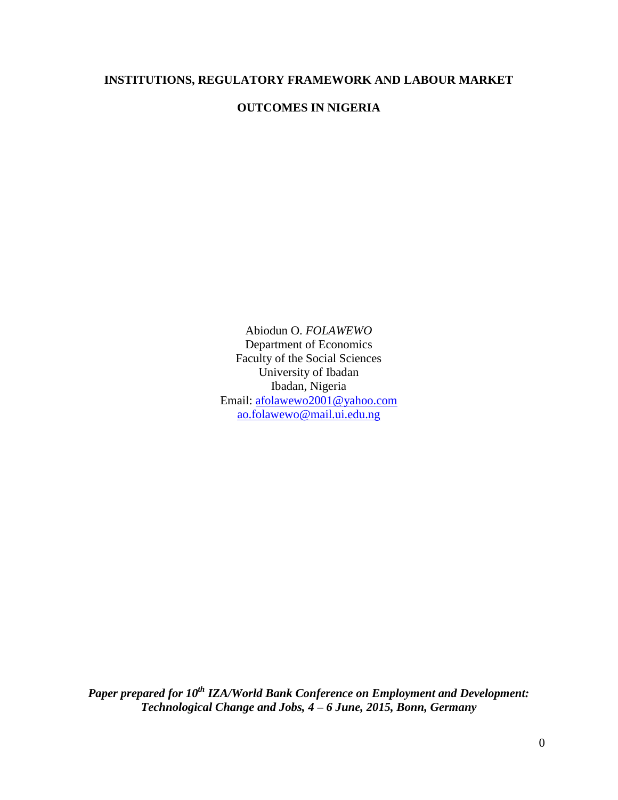# **INSTITUTIONS, REGULATORY FRAMEWORK AND LABOUR MARKET**

# **OUTCOMES IN NIGERIA**

Abiodun O. *FOLAWEWO* Department of Economics Faculty of the Social Sciences University of Ibadan Ibadan, Nigeria Email: [afolawewo2001@yahoo.com](mailto:afolawewo2001@yahoo.com) [ao.folawewo@mail.ui.edu.ng](mailto:ao.folawewo@mail.ui.edu.ng)

*Paper prepared for 10th IZA/World Bank Conference on Employment and Development: Technological Change and Jobs, 4 – 6 June, 2015, Bonn, Germany*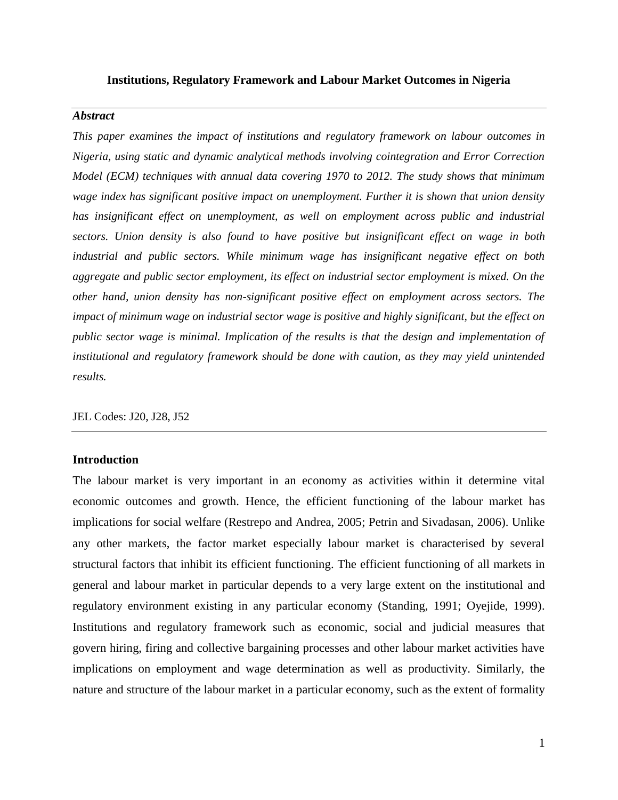#### **Institutions, Regulatory Framework and Labour Market Outcomes in Nigeria**

## *Abstract*

*This paper examines the impact of institutions and regulatory framework on labour outcomes in Nigeria, using static and dynamic analytical methods involving cointegration and Error Correction Model (ECM) techniques with annual data covering 1970 to 2012. The study shows that minimum wage index has significant positive impact on unemployment. Further it is shown that union density has insignificant effect on unemployment, as well on employment across public and industrial sectors. Union density is also found to have positive but insignificant effect on wage in both industrial and public sectors. While minimum wage has insignificant negative effect on both aggregate and public sector employment, its effect on industrial sector employment is mixed. On the other hand, union density has non-significant positive effect on employment across sectors. The impact of minimum wage on industrial sector wage is positive and highly significant, but the effect on public sector wage is minimal. Implication of the results is that the design and implementation of institutional and regulatory framework should be done with caution, as they may yield unintended results.*

## JEL Codes: J20, J28, J52

#### **Introduction**

The labour market is very important in an economy as activities within it determine vital economic outcomes and growth. Hence, the efficient functioning of the labour market has implications for social welfare (Restrepo and Andrea, 2005; Petrin and Sivadasan, 2006). Unlike any other markets, the factor market especially labour market is characterised by several structural factors that inhibit its efficient functioning. The efficient functioning of all markets in general and labour market in particular depends to a very large extent on the institutional and regulatory environment existing in any particular economy (Standing, 1991; Oyejide, 1999). Institutions and regulatory framework such as economic, social and judicial measures that govern hiring, firing and collective bargaining processes and other labour market activities have implications on employment and wage determination as well as productivity. Similarly, the nature and structure of the labour market in a particular economy, such as the extent of formality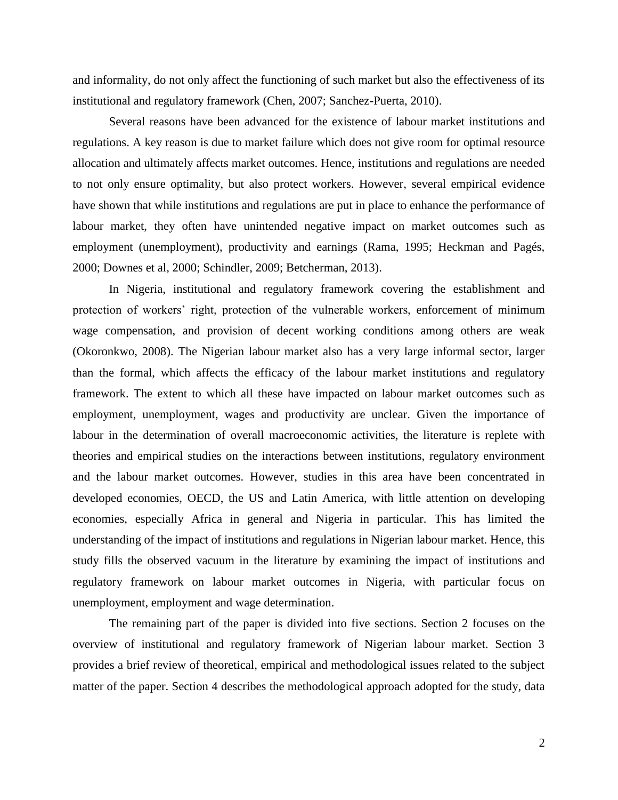and informality, do not only affect the functioning of such market but also the effectiveness of its institutional and regulatory framework (Chen, 2007; Sanchez-Puerta, 2010).

Several reasons have been advanced for the existence of labour market institutions and regulations. A key reason is due to market failure which does not give room for optimal resource allocation and ultimately affects market outcomes. Hence, institutions and regulations are needed to not only ensure optimality, but also protect workers. However, several empirical evidence have shown that while institutions and regulations are put in place to enhance the performance of labour market, they often have unintended negative impact on market outcomes such as employment (unemployment), productivity and earnings (Rama, 1995; Heckman and Pagés, 2000; Downes et al, 2000; Schindler, 2009; Betcherman, 2013).

In Nigeria, institutional and regulatory framework covering the establishment and protection of workers' right, protection of the vulnerable workers, enforcement of minimum wage compensation, and provision of decent working conditions among others are weak (Okoronkwo, 2008). The Nigerian labour market also has a very large informal sector, larger than the formal, which affects the efficacy of the labour market institutions and regulatory framework. The extent to which all these have impacted on labour market outcomes such as employment, unemployment, wages and productivity are unclear. Given the importance of labour in the determination of overall macroeconomic activities, the literature is replete with theories and empirical studies on the interactions between institutions, regulatory environment and the labour market outcomes. However, studies in this area have been concentrated in developed economies, OECD, the US and Latin America, with little attention on developing economies, especially Africa in general and Nigeria in particular. This has limited the understanding of the impact of institutions and regulations in Nigerian labour market. Hence, this study fills the observed vacuum in the literature by examining the impact of institutions and regulatory framework on labour market outcomes in Nigeria, with particular focus on unemployment, employment and wage determination.

The remaining part of the paper is divided into five sections. Section 2 focuses on the overview of institutional and regulatory framework of Nigerian labour market. Section 3 provides a brief review of theoretical, empirical and methodological issues related to the subject matter of the paper. Section 4 describes the methodological approach adopted for the study, data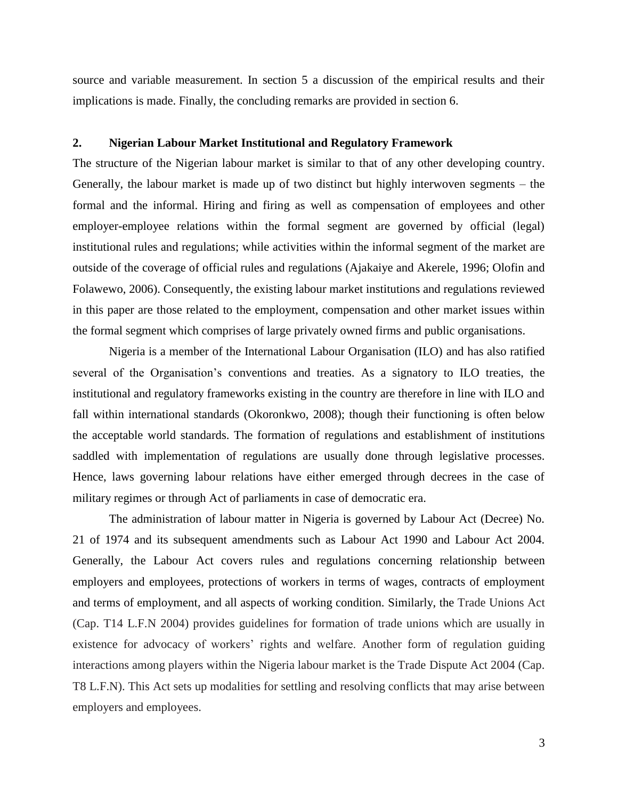source and variable measurement. In section 5 a discussion of the empirical results and their implications is made. Finally, the concluding remarks are provided in section 6.

#### **2. Nigerian Labour Market Institutional and Regulatory Framework**

The structure of the Nigerian labour market is similar to that of any other developing country. Generally, the labour market is made up of two distinct but highly interwoven segments – the formal and the informal. Hiring and firing as well as compensation of employees and other employer-employee relations within the formal segment are governed by official (legal) institutional rules and regulations; while activities within the informal segment of the market are outside of the coverage of official rules and regulations (Ajakaiye and Akerele, 1996; Olofin and Folawewo, 2006). Consequently, the existing labour market institutions and regulations reviewed in this paper are those related to the employment, compensation and other market issues within the formal segment which comprises of large privately owned firms and public organisations.

Nigeria is a member of the International Labour Organisation (ILO) and has also ratified several of the Organisation's conventions and treaties. As a signatory to ILO treaties, the institutional and regulatory frameworks existing in the country are therefore in line with ILO and fall within international standards (Okoronkwo, 2008); though their functioning is often below the acceptable world standards. The formation of regulations and establishment of institutions saddled with implementation of regulations are usually done through legislative processes. Hence, laws governing labour relations have either emerged through decrees in the case of military regimes or through Act of parliaments in case of democratic era.

The administration of labour matter in Nigeria is governed by Labour Act (Decree) No. 21 of 1974 and its subsequent amendments such as Labour Act 1990 and Labour Act 2004. Generally, the Labour Act covers rules and regulations concerning relationship between employers and employees, protections of workers in terms of wages, contracts of employment and terms of employment, and all aspects of working condition. Similarly, the Trade Unions Act (Cap. T14 L.F.N 2004) provides guidelines for formation of trade unions which are usually in existence for advocacy of workers' rights and welfare. Another form of regulation guiding interactions among players within the Nigeria labour market is the Trade Dispute Act 2004 (Cap. T8 L.F.N). This Act sets up modalities for settling and resolving conflicts that may arise between employers and employees.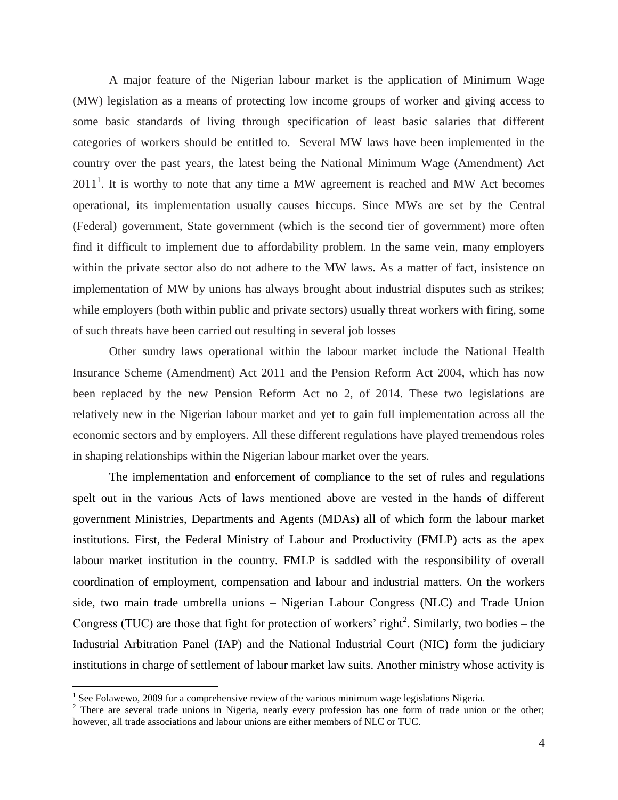A major feature of the Nigerian labour market is the application of Minimum Wage (MW) legislation as a means of protecting low income groups of worker and giving access to some basic standards of living through specification of least basic salaries that different categories of workers should be entitled to. Several MW laws have been implemented in the country over the past years, the latest being the National Minimum Wage (Amendment) Act  $2011<sup>1</sup>$ . It is worthy to note that any time a MW agreement is reached and MW Act becomes operational, its implementation usually causes hiccups. Since MWs are set by the Central (Federal) government, State government (which is the second tier of government) more often find it difficult to implement due to affordability problem. In the same vein, many employers within the private sector also do not adhere to the MW laws. As a matter of fact, insistence on implementation of MW by unions has always brought about industrial disputes such as strikes; while employers (both within public and private sectors) usually threat workers with firing, some of such threats have been carried out resulting in several job losses

Other sundry laws operational within the labour market include the National Health Insurance Scheme (Amendment) Act 2011 and the Pension Reform Act 2004, which has now been replaced by the new Pension Reform Act no 2, of 2014. These two legislations are relatively new in the Nigerian labour market and yet to gain full implementation across all the economic sectors and by employers. All these different regulations have played tremendous roles in shaping relationships within the Nigerian labour market over the years.

The implementation and enforcement of compliance to the set of rules and regulations spelt out in the various Acts of laws mentioned above are vested in the hands of different government Ministries, Departments and Agents (MDAs) all of which form the labour market institutions. First, the Federal Ministry of Labour and Productivity (FMLP) acts as the apex labour market institution in the country. FMLP is saddled with the responsibility of overall coordination of employment, compensation and labour and industrial matters. On the workers side, two main trade umbrella unions – Nigerian Labour Congress (NLC) and Trade Union Congress (TUC) are those that fight for protection of workers' right<sup>2</sup>. Similarly, two bodies – the Industrial Arbitration Panel (IAP) and the National Industrial Court (NIC) form the judiciary institutions in charge of settlement of labour market law suits. Another ministry whose activity is

 $\overline{a}$ 

 $<sup>1</sup>$  See Folawewo, 2009 for a comprehensive review of the various minimum wage legislations Nigeria.</sup>

<sup>&</sup>lt;sup>2</sup> There are several trade unions in Nigeria, nearly every profession has one form of trade union or the other; however, all trade associations and labour unions are either members of NLC or TUC.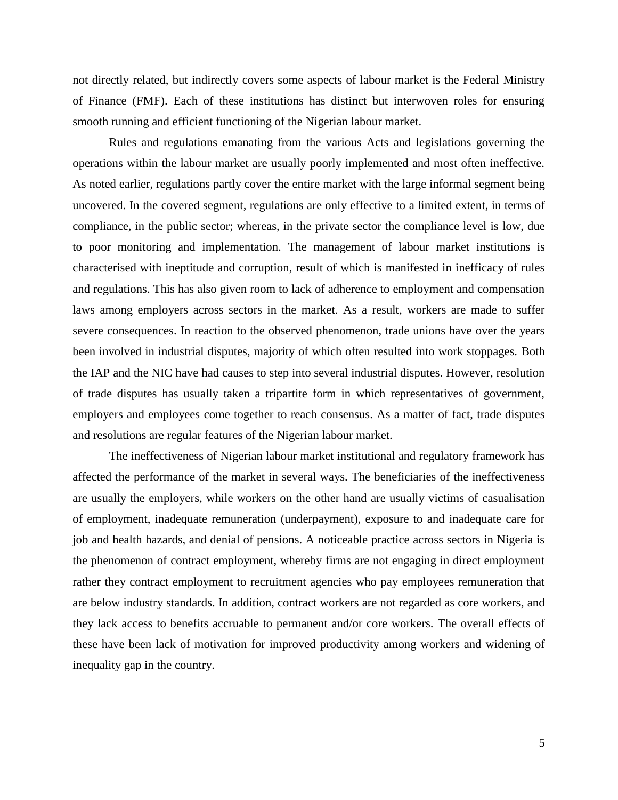not directly related, but indirectly covers some aspects of labour market is the Federal Ministry of Finance (FMF). Each of these institutions has distinct but interwoven roles for ensuring smooth running and efficient functioning of the Nigerian labour market.

Rules and regulations emanating from the various Acts and legislations governing the operations within the labour market are usually poorly implemented and most often ineffective. As noted earlier, regulations partly cover the entire market with the large informal segment being uncovered. In the covered segment, regulations are only effective to a limited extent, in terms of compliance, in the public sector; whereas, in the private sector the compliance level is low, due to poor monitoring and implementation. The management of labour market institutions is characterised with ineptitude and corruption, result of which is manifested in inefficacy of rules and regulations. This has also given room to lack of adherence to employment and compensation laws among employers across sectors in the market. As a result, workers are made to suffer severe consequences. In reaction to the observed phenomenon, trade unions have over the years been involved in industrial disputes, majority of which often resulted into work stoppages. Both the IAP and the NIC have had causes to step into several industrial disputes. However, resolution of trade disputes has usually taken a tripartite form in which representatives of government, employers and employees come together to reach consensus. As a matter of fact, trade disputes and resolutions are regular features of the Nigerian labour market.

The ineffectiveness of Nigerian labour market institutional and regulatory framework has affected the performance of the market in several ways. The beneficiaries of the ineffectiveness are usually the employers, while workers on the other hand are usually victims of casualisation of employment, inadequate remuneration (underpayment), exposure to and inadequate care for job and health hazards, and denial of pensions. A noticeable practice across sectors in Nigeria is the phenomenon of contract employment, whereby firms are not engaging in direct employment rather they contract employment to recruitment agencies who pay employees remuneration that are below industry standards. In addition, contract workers are not regarded as core workers, and they lack access to benefits accruable to permanent and/or core workers. The overall effects of these have been lack of motivation for improved productivity among workers and widening of inequality gap in the country.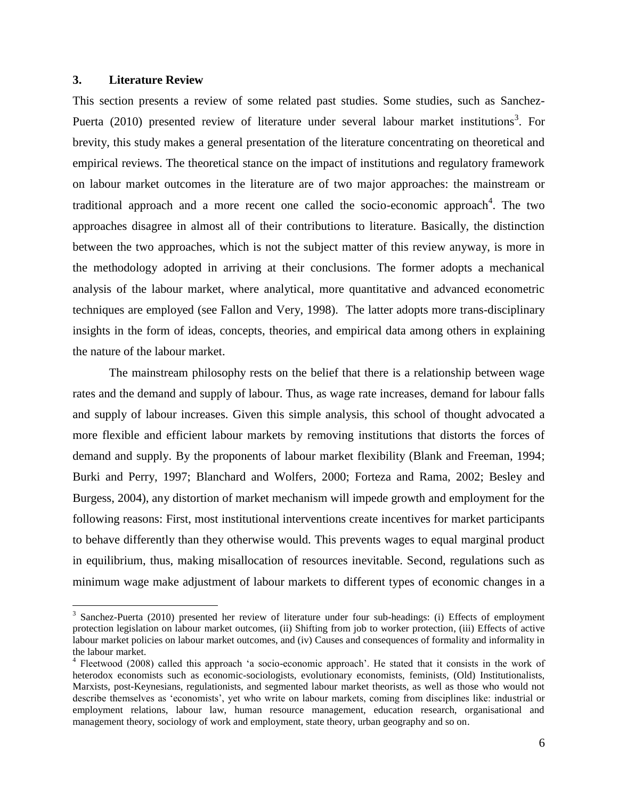## **3. Literature Review**

 $\overline{a}$ 

This section presents a review of some related past studies. Some studies, such as Sanchez-Puerta  $(2010)$  presented review of literature under several labour market institutions<sup>3</sup>. For brevity, this study makes a general presentation of the literature concentrating on theoretical and empirical reviews. The theoretical stance on the impact of institutions and regulatory framework on labour market outcomes in the literature are of two major approaches: the mainstream or traditional approach and a more recent one called the socio-economic approach<sup>4</sup>. The two approaches disagree in almost all of their contributions to literature. Basically, the distinction between the two approaches, which is not the subject matter of this review anyway, is more in the methodology adopted in arriving at their conclusions. The former adopts a mechanical analysis of the labour market, where analytical, more quantitative and advanced econometric techniques are employed (see Fallon and Very, 1998). The latter adopts more trans-disciplinary insights in the form of ideas, concepts, theories, and empirical data among others in explaining the nature of the labour market.

The mainstream philosophy rests on the belief that there is a relationship between wage rates and the demand and supply of labour. Thus, as wage rate increases, demand for labour falls and supply of labour increases. Given this simple analysis, this school of thought advocated a more flexible and efficient labour markets by removing institutions that distorts the forces of demand and supply. By the proponents of labour market flexibility (Blank and Freeman, 1994; Burki and Perry, 1997; Blanchard and Wolfers, 2000; Forteza and Rama, 2002; Besley and Burgess, 2004), any distortion of market mechanism will impede growth and employment for the following reasons: First, most institutional interventions create incentives for market participants to behave differently than they otherwise would. This prevents wages to equal marginal product in equilibrium, thus, making misallocation of resources inevitable. Second, regulations such as minimum wage make adjustment of labour markets to different types of economic changes in a

<sup>&</sup>lt;sup>3</sup> Sanchez-Puerta (2010) presented her review of literature under four sub-headings: (i) Effects of employment protection legislation on labour market outcomes, (ii) Shifting from job to worker protection, (iii) Effects of active labour market policies on labour market outcomes, and (iv) Causes and consequences of formality and informality in the labour market.

<sup>&</sup>lt;sup>4</sup> Fleetwood (2008) called this approach 'a socio-economic approach'. He stated that it consists in the work of heterodox economists such as economic-sociologists, evolutionary economists, feminists, (Old) Institutionalists, Marxists, post-Keynesians, regulationists, and segmented labour market theorists, as well as those who would not describe themselves as 'economists', yet who write on labour markets, coming from disciplines like: industrial or employment relations, labour law, human resource management, education research, organisational and management theory, sociology of work and employment, state theory, urban geography and so on.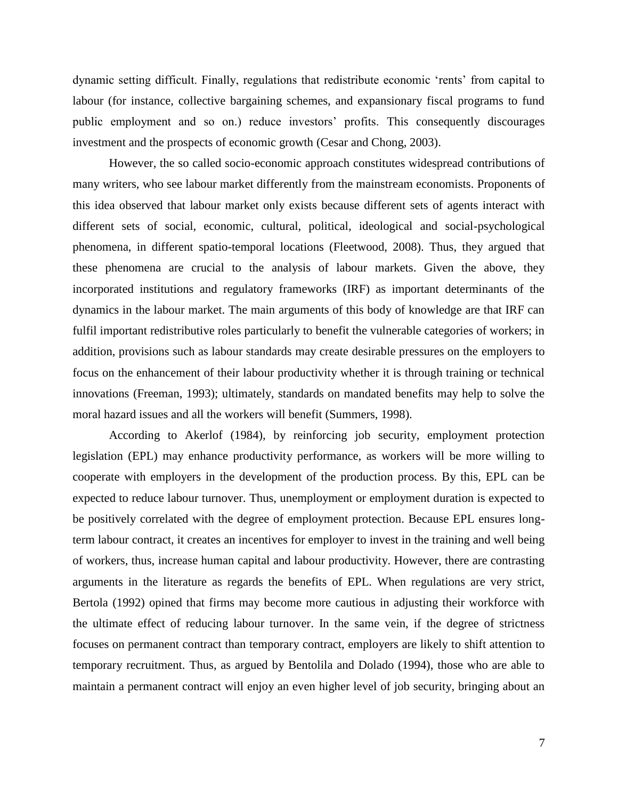dynamic setting difficult. Finally, regulations that redistribute economic 'rents' from capital to labour (for instance, collective bargaining schemes, and expansionary fiscal programs to fund public employment and so on.) reduce investors' profits. This consequently discourages investment and the prospects of economic growth (Cesar and Chong, 2003).

However, the so called socio-economic approach constitutes widespread contributions of many writers, who see labour market differently from the mainstream economists. Proponents of this idea observed that labour market only exists because different sets of agents interact with different sets of social, economic, cultural, political, ideological and social-psychological phenomena, in different spatio-temporal locations (Fleetwood, 2008). Thus, they argued that these phenomena are crucial to the analysis of labour markets. Given the above, they incorporated institutions and regulatory frameworks (IRF) as important determinants of the dynamics in the labour market. The main arguments of this body of knowledge are that IRF can fulfil important redistributive roles particularly to benefit the vulnerable categories of workers; in addition, provisions such as labour standards may create desirable pressures on the employers to focus on the enhancement of their labour productivity whether it is through training or technical innovations (Freeman, 1993); ultimately, standards on mandated benefits may help to solve the moral hazard issues and all the workers will benefit (Summers, 1998).

According to Akerlof (1984), by reinforcing job security, employment protection legislation (EPL) may enhance productivity performance, as workers will be more willing to cooperate with employers in the development of the production process. By this, EPL can be expected to reduce labour turnover. Thus, unemployment or employment duration is expected to be positively correlated with the degree of employment protection. Because EPL ensures longterm labour contract, it creates an incentives for employer to invest in the training and well being of workers, thus, increase human capital and labour productivity. However, there are contrasting arguments in the literature as regards the benefits of EPL. When regulations are very strict, Bertola (1992) opined that firms may become more cautious in adjusting their workforce with the ultimate effect of reducing labour turnover. In the same vein, if the degree of strictness focuses on permanent contract than temporary contract, employers are likely to shift attention to temporary recruitment. Thus, as argued by Bentolila and Dolado (1994), those who are able to maintain a permanent contract will enjoy an even higher level of job security, bringing about an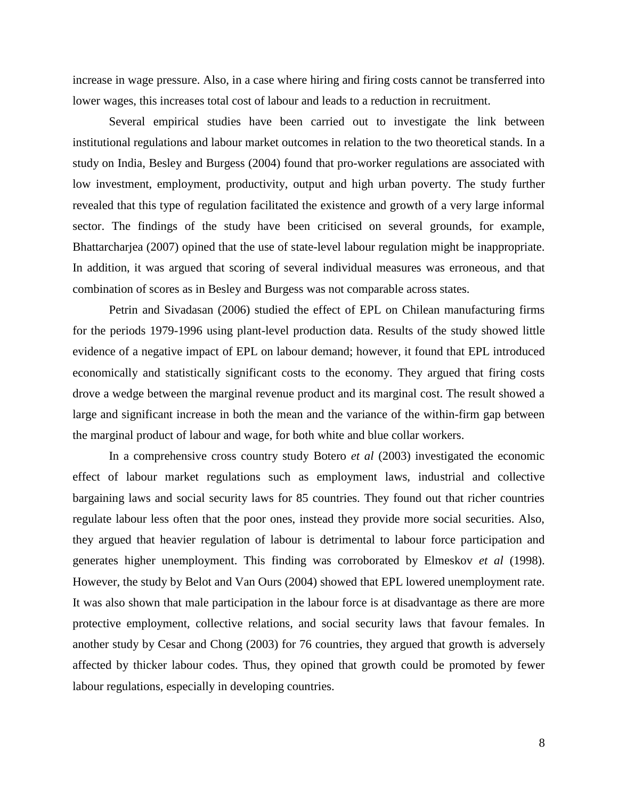increase in wage pressure. Also, in a case where hiring and firing costs cannot be transferred into lower wages, this increases total cost of labour and leads to a reduction in recruitment.

Several empirical studies have been carried out to investigate the link between institutional regulations and labour market outcomes in relation to the two theoretical stands. In a study on India, Besley and Burgess (2004) found that pro-worker regulations are associated with low investment, employment, productivity, output and high urban poverty. The study further revealed that this type of regulation facilitated the existence and growth of a very large informal sector. The findings of the study have been criticised on several grounds, for example, Bhattarcharjea (2007) opined that the use of state-level labour regulation might be inappropriate. In addition, it was argued that scoring of several individual measures was erroneous, and that combination of scores as in Besley and Burgess was not comparable across states.

Petrin and Sivadasan (2006) studied the effect of EPL on Chilean manufacturing firms for the periods 1979-1996 using plant-level production data. Results of the study showed little evidence of a negative impact of EPL on labour demand; however, it found that EPL introduced economically and statistically significant costs to the economy. They argued that firing costs drove a wedge between the marginal revenue product and its marginal cost. The result showed a large and significant increase in both the mean and the variance of the within-firm gap between the marginal product of labour and wage, for both white and blue collar workers.

In a comprehensive cross country study Botero *et al* (2003) investigated the economic effect of labour market regulations such as employment laws, industrial and collective bargaining laws and social security laws for 85 countries. They found out that richer countries regulate labour less often that the poor ones, instead they provide more social securities. Also, they argued that heavier regulation of labour is detrimental to labour force participation and generates higher unemployment. This finding was corroborated by Elmeskov *et al* (1998). However, the study by Belot and Van Ours (2004) showed that EPL lowered unemployment rate. It was also shown that male participation in the labour force is at disadvantage as there are more protective employment, collective relations, and social security laws that favour females. In another study by Cesar and Chong (2003) for 76 countries, they argued that growth is adversely affected by thicker labour codes. Thus, they opined that growth could be promoted by fewer labour regulations, especially in developing countries.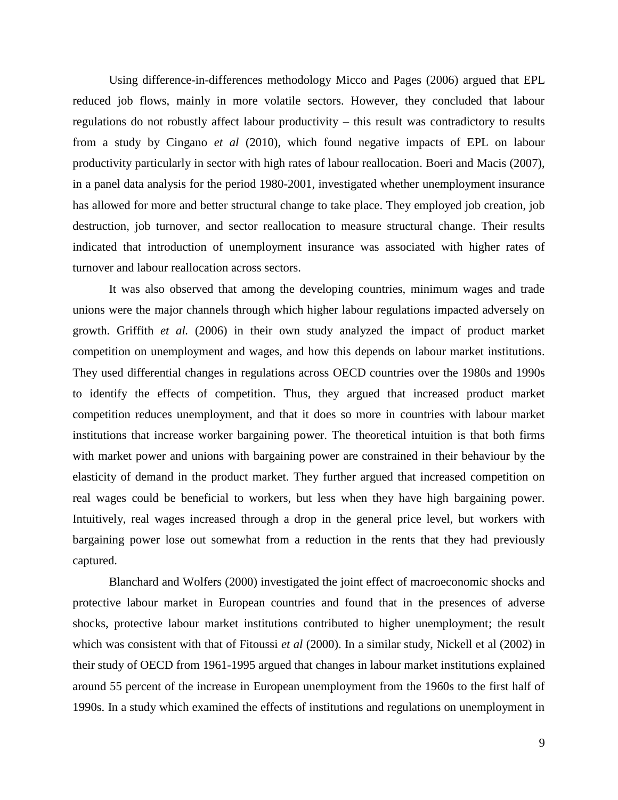Using difference-in-differences methodology Micco and Pages (2006) argued that EPL reduced job flows, mainly in more volatile sectors. However, they concluded that labour regulations do not robustly affect labour productivity – this result was contradictory to results from a study by Cingano *et al* (2010), which found negative impacts of EPL on labour productivity particularly in sector with high rates of labour reallocation. Boeri and Macis (2007), in a panel data analysis for the period 1980-2001, investigated whether unemployment insurance has allowed for more and better structural change to take place. They employed job creation, job destruction, job turnover, and sector reallocation to measure structural change. Their results indicated that introduction of unemployment insurance was associated with higher rates of turnover and labour reallocation across sectors.

It was also observed that among the developing countries, minimum wages and trade unions were the major channels through which higher labour regulations impacted adversely on growth. Griffith *et al.* (2006) in their own study analyzed the impact of product market competition on unemployment and wages, and how this depends on labour market institutions. They used differential changes in regulations across OECD countries over the 1980s and 1990s to identify the effects of competition. Thus, they argued that increased product market competition reduces unemployment, and that it does so more in countries with labour market institutions that increase worker bargaining power. The theoretical intuition is that both firms with market power and unions with bargaining power are constrained in their behaviour by the elasticity of demand in the product market. They further argued that increased competition on real wages could be beneficial to workers, but less when they have high bargaining power. Intuitively, real wages increased through a drop in the general price level, but workers with bargaining power lose out somewhat from a reduction in the rents that they had previously captured.

Blanchard and Wolfers (2000) investigated the joint effect of macroeconomic shocks and protective labour market in European countries and found that in the presences of adverse shocks, protective labour market institutions contributed to higher unemployment; the result which was consistent with that of Fitoussi *et al* (2000). In a similar study, Nickell et al (2002) in their study of OECD from 1961-1995 argued that changes in labour market institutions explained around 55 percent of the increase in European unemployment from the 1960s to the first half of 1990s. In a study which examined the effects of institutions and regulations on unemployment in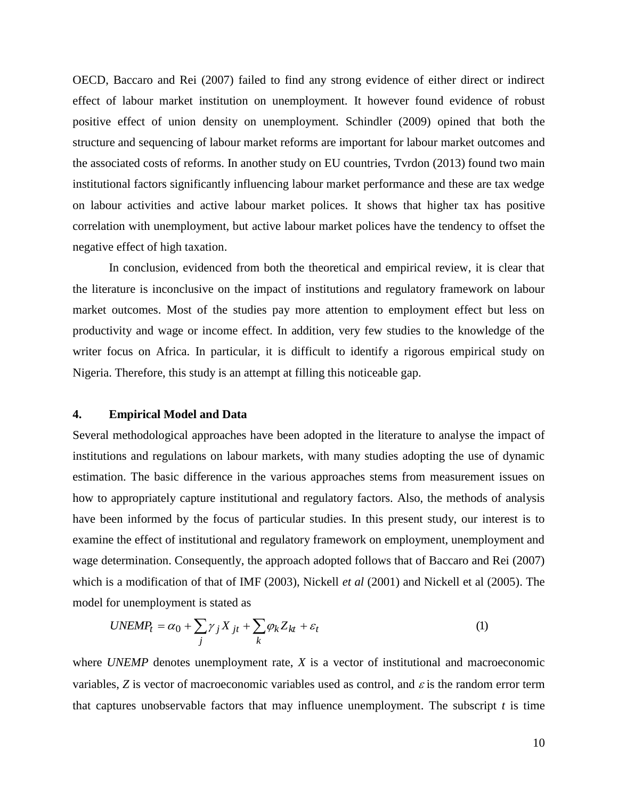OECD, Baccaro and Rei (2007) failed to find any strong evidence of either direct or indirect effect of labour market institution on unemployment. It however found evidence of robust positive effect of union density on unemployment. Schindler (2009) opined that both the structure and sequencing of labour market reforms are important for labour market outcomes and the associated costs of reforms. In another study on EU countries, Tvrdon (2013) found two main institutional factors significantly influencing labour market performance and these are tax wedge on labour activities and active labour market polices. It shows that higher tax has positive correlation with unemployment, but active labour market polices have the tendency to offset the negative effect of high taxation.

In conclusion, evidenced from both the theoretical and empirical review, it is clear that the literature is inconclusive on the impact of institutions and regulatory framework on labour market outcomes. Most of the studies pay more attention to employment effect but less on productivity and wage or income effect. In addition, very few studies to the knowledge of the writer focus on Africa. In particular, it is difficult to identify a rigorous empirical study on Nigeria. Therefore, this study is an attempt at filling this noticeable gap.

## **4. Empirical Model and Data**

Several methodological approaches have been adopted in the literature to analyse the impact of institutions and regulations on labour markets, with many studies adopting the use of dynamic estimation. The basic difference in the various approaches stems from measurement issues on how to appropriately capture institutional and regulatory factors. Also, the methods of analysis have been informed by the focus of particular studies. In this present study, our interest is to examine the effect of institutional and regulatory framework on employment, unemployment and wage determination. Consequently, the approach adopted follows that of Baccaro and Rei (2007) which is a modification of that of IMF (2003), Nickell *et al* (2001) and Nickell et al (2005). The model for unemployment is stated as

$$
UNEMP_t = \alpha_0 + \sum_j \gamma_j X_{jt} + \sum_k \varphi_k Z_{kt} + \varepsilon_t
$$
 (1)

where *UNEMP* denotes unemployment rate, *X* is a vector of institutional and macroeconomic variables,  $Z$  is vector of macroeconomic variables used as control, and  $\varepsilon$  is the random error term that captures unobservable factors that may influence unemployment. The subscript *t* is time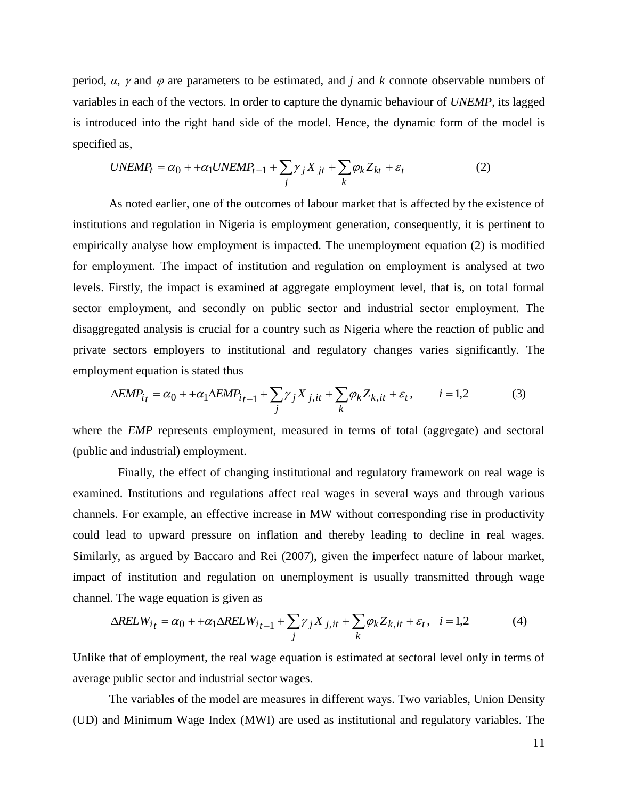period,  $\alpha$ ,  $\gamma$  and  $\varphi$  are parameters to be estimated, and *j* and *k* connote observable numbers of variables in each of the vectors. In order to capture the dynamic behaviour of *UNEMP*, its lagged is introduced into the right hand side of the model. Hence, the dynamic form of the model is specified as,

$$
UNEMP_t = \alpha_0 + +\alpha_1 UNEMP_{t-1} + \sum_j \gamma_j X_{jt} + \sum_k \varphi_k Z_{kt} + \varepsilon_t
$$
 (2)

As noted earlier, one of the outcomes of labour market that is affected by the existence of institutions and regulation in Nigeria is employment generation, consequently, it is pertinent to empirically analyse how employment is impacted. The unemployment equation (2) is modified for employment. The impact of institution and regulation on employment is analysed at two levels. Firstly, the impact is examined at aggregate employment level, that is, on total formal sector employment, and secondly on public sector and industrial sector employment. The disaggregated analysis is crucial for a country such as Nigeria where the reaction of public and private sectors employers to institutional and regulatory changes varies significantly. The employment equation is stated thus

$$
\Delta EMP_{i_t} = \alpha_0 + \alpha_1 \Delta EMP_{i_{t-1}} + \sum_j \gamma_j X_{j, it} + \sum_k \varphi_k Z_{k, it} + \varepsilon_t, \qquad i = 1, 2 \tag{3}
$$

where the **EMP** represents employment, measured in terms of total (aggregate) and sectoral (public and industrial) employment.

 Finally, the effect of changing institutional and regulatory framework on real wage is examined. Institutions and regulations affect real wages in several ways and through various channels. For example, an effective increase in MW without corresponding rise in productivity could lead to upward pressure on inflation and thereby leading to decline in real wages. Similarly, as argued by Baccaro and Rei (2007), given the imperfect nature of labour market, impact of institution and regulation on unemployment is usually transmitted through wage channel. The wage equation is given as

$$
\Delta RELW_{i} = \alpha_0 + \alpha_1 \Delta RELW_{i} + \sum_j \gamma_j X_{j, it} + \sum_k \varphi_k Z_{k, it} + \varepsilon_t, \quad i = 1, 2 \tag{4}
$$

Unlike that of employment, the real wage equation is estimated at sectoral level only in terms of average public sector and industrial sector wages.

The variables of the model are measures in different ways. Two variables, Union Density (UD) and Minimum Wage Index (MWI) are used as institutional and regulatory variables. The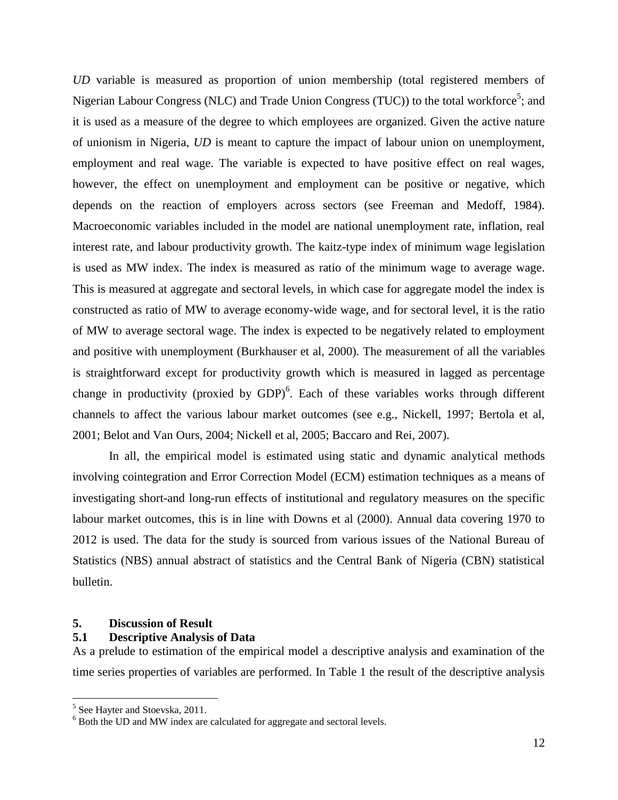*UD* variable is measured as proportion of union membership (total registered members of Nigerian Labour Congress (NLC) and Trade Union Congress (TUC)) to the total workforce<sup>5</sup>; and it is used as a measure of the degree to which employees are organized. Given the active nature of unionism in Nigeria, *UD* is meant to capture the impact of labour union on unemployment, employment and real wage. The variable is expected to have positive effect on real wages, however, the effect on unemployment and employment can be positive or negative, which depends on the reaction of employers across sectors (see Freeman and Medoff, 1984). Macroeconomic variables included in the model are national unemployment rate, inflation, real interest rate, and labour productivity growth. The kaitz-type index of minimum wage legislation is used as MW index. The index is measured as ratio of the minimum wage to average wage. This is measured at aggregate and sectoral levels, in which case for aggregate model the index is constructed as ratio of MW to average economy-wide wage, and for sectoral level, it is the ratio of MW to average sectoral wage. The index is expected to be negatively related to employment and positive with unemployment (Burkhauser et al, 2000). The measurement of all the variables is straightforward except for productivity growth which is measured in lagged as percentage change in productivity (proxied by GDP) $<sup>6</sup>$ . Each of these variables works through different</sup> channels to affect the various labour market outcomes (see e.g., Nickell, 1997; Bertola et al, 2001; Belot and Van Ours, 2004; Nickell et al, 2005; Baccaro and Rei, 2007).

In all, the empirical model is estimated using static and dynamic analytical methods involving cointegration and Error Correction Model (ECM) estimation techniques as a means of investigating short-and long-run effects of institutional and regulatory measures on the specific labour market outcomes, this is in line with Downs et al (2000). Annual data covering 1970 to 2012 is used. The data for the study is sourced from various issues of the National Bureau of Statistics (NBS) annual abstract of statistics and the Central Bank of Nigeria (CBN) statistical bulletin.

## **5. Discussion of Result**

#### **5.1 Descriptive Analysis of Data**

As a prelude to estimation of the empirical model a descriptive analysis and examination of the time series properties of variables are performed. In Table 1 the result of the descriptive analysis

<sup>&</sup>lt;sup>5</sup> See Hayter and Stoevska, 2011.

 $6$  Both the UD and MW index are calculated for aggregate and sectoral levels.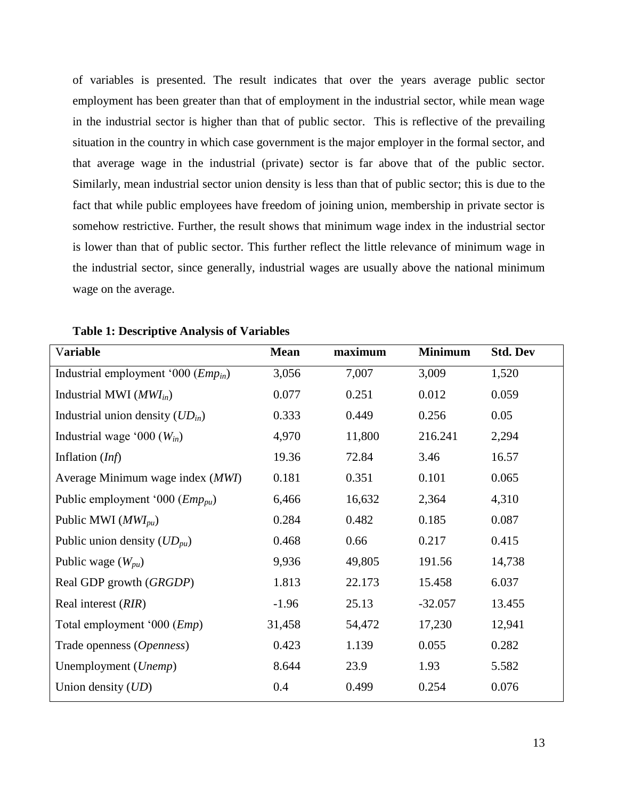of variables is presented. The result indicates that over the years average public sector employment has been greater than that of employment in the industrial sector, while mean wage in the industrial sector is higher than that of public sector. This is reflective of the prevailing situation in the country in which case government is the major employer in the formal sector, and that average wage in the industrial (private) sector is far above that of the public sector. Similarly, mean industrial sector union density is less than that of public sector; this is due to the fact that while public employees have freedom of joining union, membership in private sector is somehow restrictive. Further, the result shows that minimum wage index in the industrial sector is lower than that of public sector. This further reflect the little relevance of minimum wage in the industrial sector, since generally, industrial wages are usually above the national minimum wage on the average.

| Variable                                | <b>Mean</b> | maximum | <b>Minimum</b> | <b>Std. Dev</b> |
|-----------------------------------------|-------------|---------|----------------|-----------------|
| Industrial employment '000 $(Emp_{in})$ | 3,056       | 7,007   | 3,009          | 1,520           |
| Industrial MWI $(MWIin)$                | 0.077       | 0.251   | 0.012          | 0.059           |
| Industrial union density $(UDin)$       | 0.333       | 0.449   | 0.256          | 0.05            |
| Industrial wage '000 $(W_{in})$         | 4,970       | 11,800  | 216.241        | 2,294           |
| Inflation $(Inf)$                       | 19.36       | 72.84   | 3.46           | 16.57           |
| Average Minimum wage index (MWI)        | 0.181       | 0.351   | 0.101          | 0.065           |
| Public employment '000 $(Emp_{pu})$     | 6,466       | 16,632  | 2,364          | 4,310           |
| Public MWI $(MWI_{pu})$                 | 0.284       | 0.482   | 0.185          | 0.087           |
| Public union density $(UD_{\nu\mu})$    | 0.468       | 0.66    | 0.217          | 0.415           |
| Public wage $(W_{pu})$                  | 9,936       | 49,805  | 191.56         | 14,738          |
| Real GDP growth (GRGDP)                 | 1.813       | 22.173  | 15.458         | 6.037           |
| Real interest (RIR)                     | $-1.96$     | 25.13   | $-32.057$      | 13.455          |
| Total employment '000 ( <i>Emp</i> )    | 31,458      | 54,472  | 17,230         | 12,941          |
| Trade openness (Openness)               | 0.423       | 1.139   | 0.055          | 0.282           |
| Unemployment (Unemp)                    | 8.644       | 23.9    | 1.93           | 5.582           |
| Union density $(UD)$                    | 0.4         | 0.499   | 0.254          | 0.076           |
|                                         |             |         |                |                 |

**Table 1: Descriptive Analysis of Variables**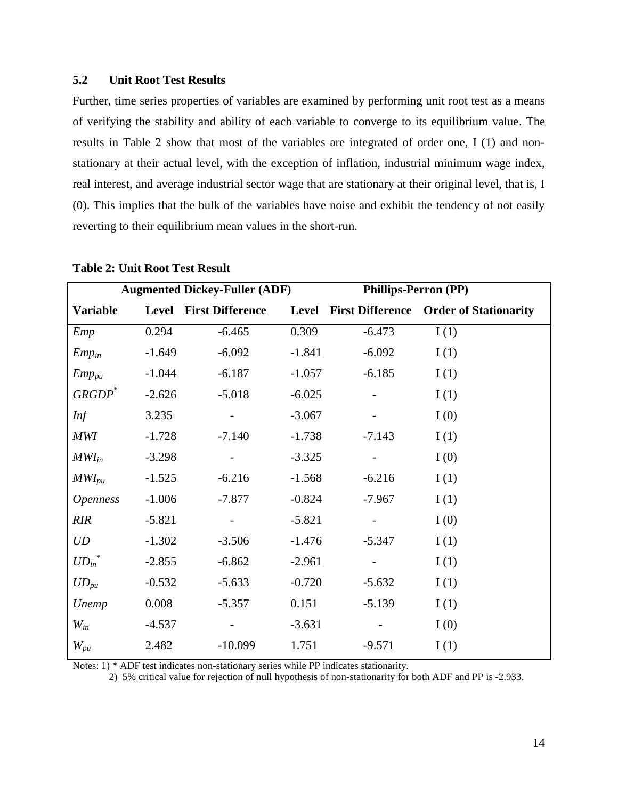## **5.2 Unit Root Test Results**

Further, time series properties of variables are examined by performing unit root test as a means of verifying the stability and ability of each variable to converge to its equilibrium value. The results in Table 2 show that most of the variables are integrated of order one, I (1) and nonstationary at their actual level, with the exception of inflation, industrial minimum wage index, real interest, and average industrial sector wage that are stationary at their original level, that is, I (0). This implies that the bulk of the variables have noise and exhibit the tendency of not easily reverting to their equilibrium mean values in the short-run.

|                        |          | <b>Augmented Dickey-Fuller (ADF)</b> |          | <b>Phillips-Perron (PP)</b> |                                              |
|------------------------|----------|--------------------------------------|----------|-----------------------------|----------------------------------------------|
| <b>Variable</b>        |          | <b>Level First Difference</b>        |          |                             | Level First Difference Order of Stationarity |
| Emp                    | 0.294    | $-6.465$                             | 0.309    | $-6.473$                    | I(1)                                         |
| $Emp_{in}$             | $-1.649$ | $-6.092$                             | $-1.841$ | $-6.092$                    | I(1)                                         |
| $Emp_{pu}$             | $-1.044$ | $-6.187$                             | $-1.057$ | $-6.185$                    | I(1)                                         |
| $GRGDP^*$              | $-2.626$ | $-5.018$                             | $-6.025$ |                             | I(1)                                         |
| Inf                    | 3.235    |                                      | $-3.067$ |                             | I(0)                                         |
| MWI                    | $-1.728$ | $-7.140$                             | $-1.738$ | $-7.143$                    | I(1)                                         |
| MWI <sub>in</sub>      | $-3.298$ |                                      | $-3.325$ |                             | I(0)                                         |
| $MWI_{pu}$             | $-1.525$ | $-6.216$                             | $-1.568$ | $-6.216$                    | I(1)                                         |
| <i><b>Openness</b></i> | $-1.006$ | $-7.877$                             | $-0.824$ | $-7.967$                    | I(1)                                         |
| $R$ <i>IR</i>          | $-5.821$ |                                      | $-5.821$ | $\blacksquare$              | I(0)                                         |
| $U\!D$                 | $-1.302$ | $-3.506$                             | $-1.476$ | $-5.347$                    | I(1)                                         |
| $U{D_{in}}^*$          | $-2.855$ | $-6.862$                             | $-2.961$ | $\overline{\phantom{a}}$    | I(1)                                         |
| $UD_{pu}$              | $-0.532$ | $-5.633$                             | $-0.720$ | $-5.632$                    | I(1)                                         |
| Unemp                  | 0.008    | $-5.357$                             | 0.151    | $-5.139$                    | I(1)                                         |
| $W_{in}$               | $-4.537$ |                                      | $-3.631$ |                             | I(0)                                         |
| $W_{pu}$               | 2.482    | $-10.099$                            | 1.751    | $-9.571$                    | I(1)                                         |

| <b>Table 2: Unit Root Test Result</b> |  |
|---------------------------------------|--|
|---------------------------------------|--|

Notes: 1) \* ADF test indicates non-stationary series while PP indicates stationarity.

2) 5% critical value for rejection of null hypothesis of non-stationarity for both ADF and PP is -2.933.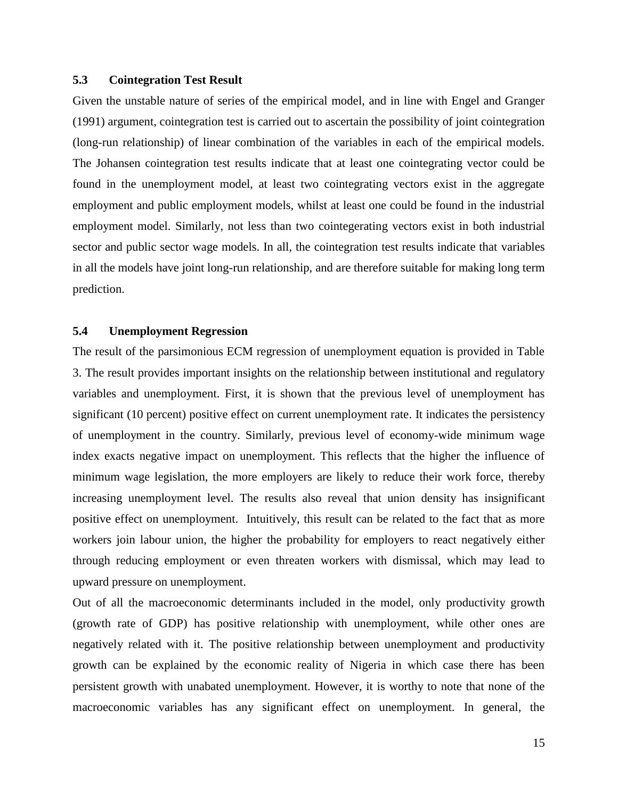## **5.3 Cointegration Test Result**

Given the unstable nature of series of the empirical model, and in line with Engel and Granger (1991) argument, cointegration test is carried out to ascertain the possibility of joint cointegration (long-run relationship) of linear combination of the variables in each of the empirical models. The Johansen cointegration test results indicate that at least one cointegrating vector could be found in the unemployment model, at least two cointegrating vectors exist in the aggregate employment and public employment models, whilst at least one could be found in the industrial employment model. Similarly, not less than two cointegerating vectors exist in both industrial sector and public sector wage models. In all, the cointegration test results indicate that variables in all the models have joint long-run relationship, and are therefore suitable for making long term prediction.

## **5.4 Unemployment Regression**

The result of the parsimonious ECM regression of unemployment equation is provided in Table 3. The result provides important insights on the relationship between institutional and regulatory variables and unemployment. First, it is shown that the previous level of unemployment has significant (10 percent) positive effect on current unemployment rate. It indicates the persistency of unemployment in the country. Similarly, previous level of economy-wide minimum wage index exacts negative impact on unemployment. This reflects that the higher the influence of minimum wage legislation, the more employers are likely to reduce their work force, thereby increasing unemployment level. The results also reveal that union density has insignificant positive effect on unemployment. Intuitively, this result can be related to the fact that as more workers join labour union, the higher the probability for employers to react negatively either through reducing employment or even threaten workers with dismissal, which may lead to upward pressure on unemployment.

Out of all the macroeconomic determinants included in the model, only productivity growth (growth rate of GDP) has positive relationship with unemployment, while other ones are negatively related with it. The positive relationship between unemployment and productivity growth can be explained by the economic reality of Nigeria in which case there has been persistent growth with unabated unemployment. However, it is worthy to note that none of the macroeconomic variables has any significant effect on unemployment. In general, the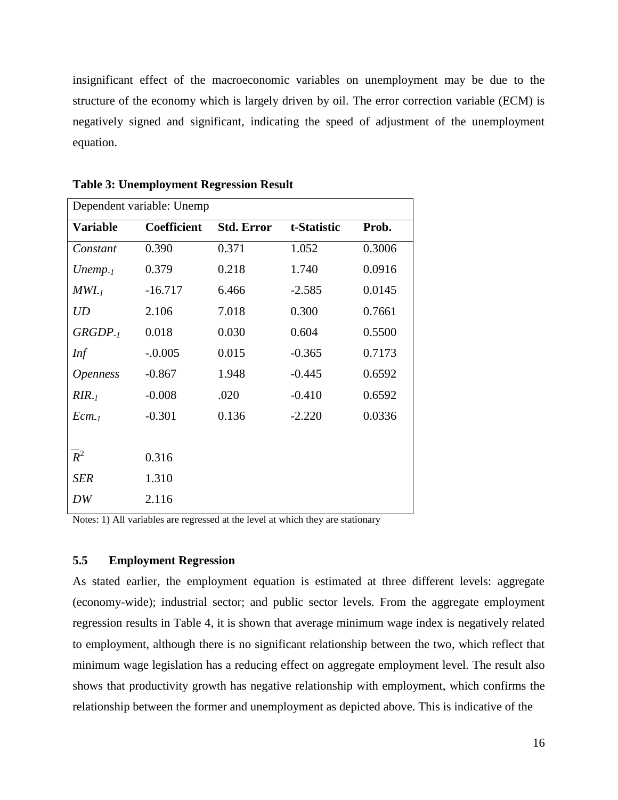insignificant effect of the macroeconomic variables on unemployment may be due to the structure of the economy which is largely driven by oil. The error correction variable (ECM) is negatively signed and significant, indicating the speed of adjustment of the unemployment equation.

| Dependent variable: Unemp |                    |                   |             |        |
|---------------------------|--------------------|-------------------|-------------|--------|
| <b>Variable</b>           | <b>Coefficient</b> | <b>Std. Error</b> | t-Statistic | Prob.  |
| Constant                  | 0.390              | 0.371             | 1.052       | 0.3006 |
| $Unemp_{-1}$              | 0.379              | 0.218             | 1.740       | 0.0916 |
| $MWI_{-1}$                | $-16.717$          | 6.466             | $-2.585$    | 0.0145 |
| UD                        | 2.106              | 7.018             | 0.300       | 0.7661 |
| $GRGDP_{-1}$              | 0.018              | 0.030             | 0.604       | 0.5500 |
| Inf                       | $-.0.005$          | 0.015             | $-0.365$    | 0.7173 |
| <i><b>Openness</b></i>    | $-0.867$           | 1.948             | $-0.445$    | 0.6592 |
| $RIR_{-1}$                | $-0.008$           | .020              | $-0.410$    | 0.6592 |
| $Ecm_{-1}$                | $-0.301$           | 0.136             | $-2.220$    | 0.0336 |
|                           |                    |                   |             |        |
| $R^2$                     | 0.316              |                   |             |        |
| <b>SER</b>                | 1.310              |                   |             |        |
| DW                        | 2.116              |                   |             |        |

**Table 3: Unemployment Regression Result**

Notes: 1) All variables are regressed at the level at which they are stationary

#### **5.5 Employment Regression**

As stated earlier, the employment equation is estimated at three different levels: aggregate (economy-wide); industrial sector; and public sector levels. From the aggregate employment regression results in Table 4, it is shown that average minimum wage index is negatively related to employment, although there is no significant relationship between the two, which reflect that minimum wage legislation has a reducing effect on aggregate employment level. The result also shows that productivity growth has negative relationship with employment, which confirms the relationship between the former and unemployment as depicted above. This is indicative of the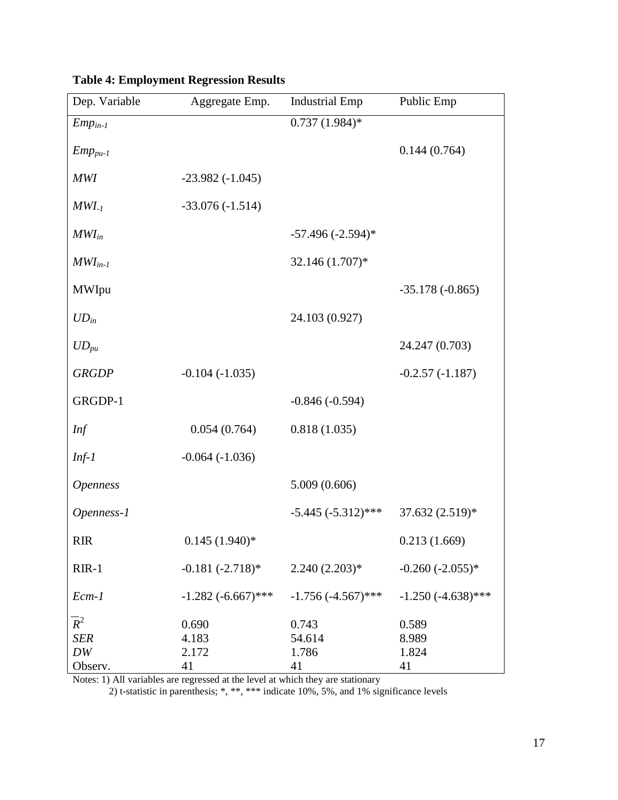| Dep. Variable          | Aggregate Emp.        | <b>Industrial Emp</b> | Public Emp           |
|------------------------|-----------------------|-----------------------|----------------------|
| $Emp_{in-1}$           |                       | $0.737(1.984)*$       |                      |
| $Emp_{pu-1}$           |                       |                       | 0.144(0.764)         |
| <b>MWI</b>             | $-23.982(-1.045)$     |                       |                      |
| $MWI_{-1}$             | $-33.076(-1.514)$     |                       |                      |
| $MWI_{in}$             |                       | $-57.496 (-2.594)^*$  |                      |
| $MWIin-1$              |                       | 32.146 (1.707)*       |                      |
| <b>MWIpu</b>           |                       |                       | $-35.178(-0.865)$    |
| $UD_{in}$              |                       | 24.103 (0.927)        |                      |
| $UD_{pu}$              |                       |                       | 24.247 (0.703)       |
| <b>GRGDP</b>           | $-0.104(-1.035)$      |                       | $-0.2.57(-1.187)$    |
| GRGDP-1                |                       | $-0.846(-0.594)$      |                      |
| Inf                    | 0.054(0.764)          | 0.818(1.035)          |                      |
| $Inf-1$                | $-0.064(-1.036)$      |                       |                      |
| <i><b>Openness</b></i> |                       | 5.009(0.606)          |                      |
| Openness-1             |                       | $-5.445 (-5.312)$ *** | 37.632 (2.519)*      |
| <b>RIR</b>             | $0.145(1.940)*$       |                       | 0.213(1.669)         |
| $RIR-1$                | $-0.181 (-2.718)$ *   | $2.240(2.203)*$       | $-0.260$ $(-2.055)*$ |
| Ecm-1                  | $-1.282 (-6.667)$ *** | $-1.756(-4.567)$ ***  | $-1.250(-4.638)$ *** |
| $\overline{R}^2$       | 0.690                 | 0.743                 | 0.589                |
| <b>SER</b>             | 4.183                 | 54.614                | 8.989                |
| DW                     | 2.172                 | 1.786                 | 1.824                |
| Observ.                | 41                    | 41                    | 41                   |

# **Table 4: Employment Regression Results**

Notes: 1) All variables are regressed at the level at which they are stationary

2) t-statistic in parenthesis; \*, \*\*, \*\*\* indicate 10%, 5%, and 1% significance levels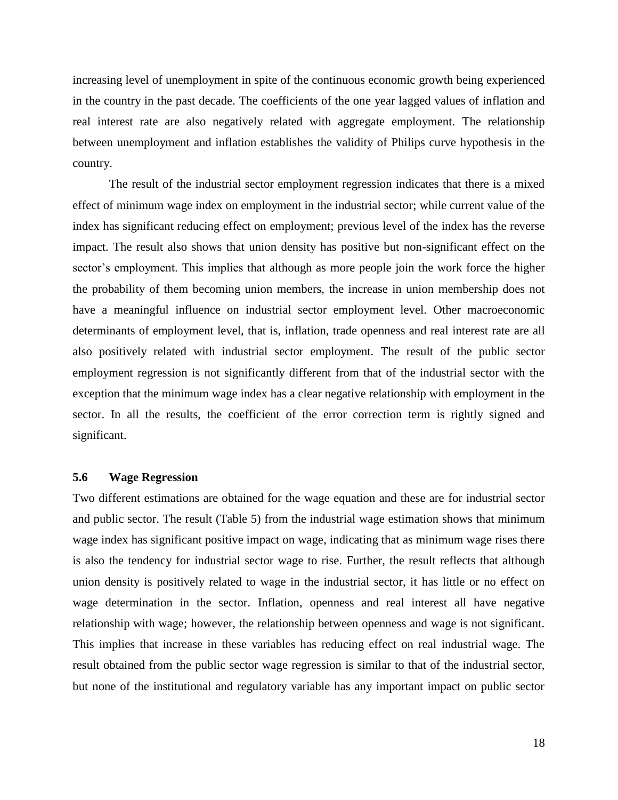increasing level of unemployment in spite of the continuous economic growth being experienced in the country in the past decade. The coefficients of the one year lagged values of inflation and real interest rate are also negatively related with aggregate employment. The relationship between unemployment and inflation establishes the validity of Philips curve hypothesis in the country.

The result of the industrial sector employment regression indicates that there is a mixed effect of minimum wage index on employment in the industrial sector; while current value of the index has significant reducing effect on employment; previous level of the index has the reverse impact. The result also shows that union density has positive but non-significant effect on the sector's employment. This implies that although as more people join the work force the higher the probability of them becoming union members, the increase in union membership does not have a meaningful influence on industrial sector employment level. Other macroeconomic determinants of employment level, that is, inflation, trade openness and real interest rate are all also positively related with industrial sector employment. The result of the public sector employment regression is not significantly different from that of the industrial sector with the exception that the minimum wage index has a clear negative relationship with employment in the sector. In all the results, the coefficient of the error correction term is rightly signed and significant.

## **5.6 Wage Regression**

Two different estimations are obtained for the wage equation and these are for industrial sector and public sector. The result (Table 5) from the industrial wage estimation shows that minimum wage index has significant positive impact on wage, indicating that as minimum wage rises there is also the tendency for industrial sector wage to rise. Further, the result reflects that although union density is positively related to wage in the industrial sector, it has little or no effect on wage determination in the sector. Inflation, openness and real interest all have negative relationship with wage; however, the relationship between openness and wage is not significant. This implies that increase in these variables has reducing effect on real industrial wage. The result obtained from the public sector wage regression is similar to that of the industrial sector, but none of the institutional and regulatory variable has any important impact on public sector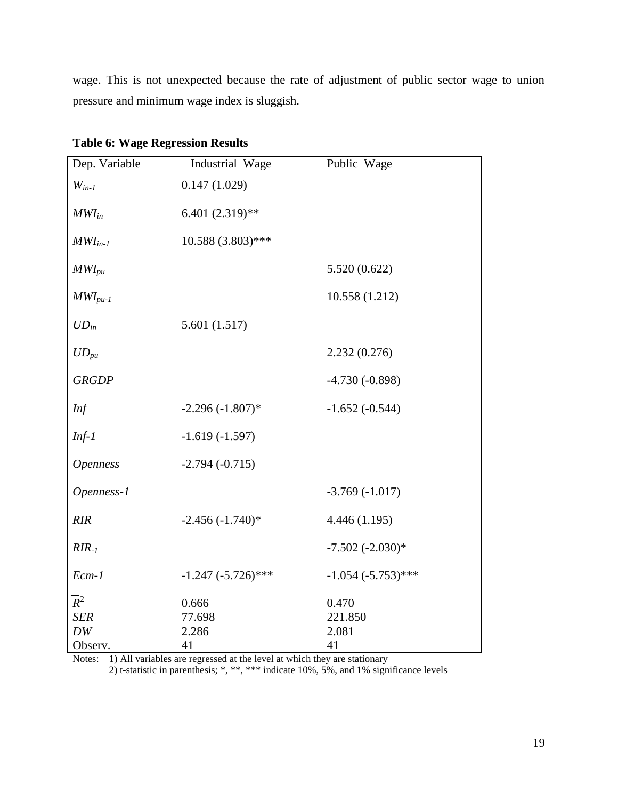wage. This is not unexpected because the rate of adjustment of public sector wage to union pressure and minimum wage index is sluggish.

| Dep. Variable          | Industrial Wage       | Public Wage             |
|------------------------|-----------------------|-------------------------|
| $W_{in-I}$             | 0.147(1.029)          |                         |
| MWI <sub>in</sub>      | 6.401 $(2.319)$ **    |                         |
| $MWIin-1$              | 10.588 (3.803)***     |                         |
| $MWI_{pu}$             |                       | 5.520 (0.622)           |
| $MNI_{pu-1}$           |                       | 10.558 (1.212)          |
| $UD_{in}$              | 5.601 (1.517)         |                         |
| $UD_{pu}$              |                       | 2.232(0.276)            |
| <b>GRGDP</b>           |                       | $-4.730(-0.898)$        |
| Inf                    | $-2.296(-1.807)*$     | $-1.652(-0.544)$        |
| $Inf-1$                | $-1.619(-1.597)$      |                         |
| <i><b>Openness</b></i> | $-2.794(-0.715)$      |                         |
| Openness-1             |                       | $-3.769(-1.017)$        |
| <b>RIR</b>             | $-2.456(-1.740)*$     | 4.446 (1.195)           |
| $RIR_{-1}$             |                       | $-7.502$ $(-2.030)*$    |
| $Ecm-1$                | $-1.247 (-5.726)$ *** | $-1.054$ $(-5.753)$ *** |
| $\overline{R}^2$       | 0.666                 | 0.470                   |
| <b>SER</b>             | 77.698                | 221.850                 |
| DW                     | 2.286                 | 2.081                   |
| Observ.                | 41                    | 41                      |

**Table 6: Wage Regression Results** 

Notes: 1) All variables are regressed at the level at which they are stationary

2) t-statistic in parenthesis; \*, \*\*, \*\*\* indicate 10%, 5%, and 1% significance levels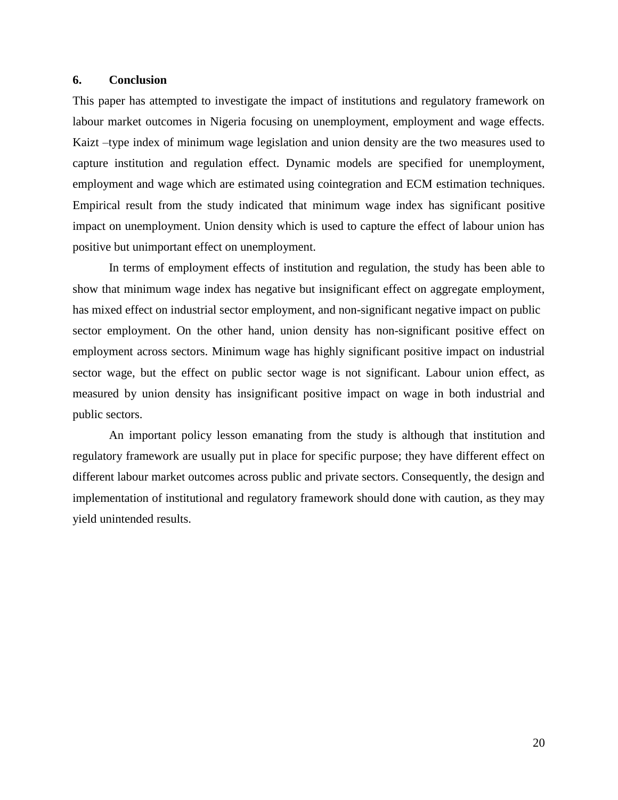## **6. Conclusion**

This paper has attempted to investigate the impact of institutions and regulatory framework on labour market outcomes in Nigeria focusing on unemployment, employment and wage effects. Kaizt –type index of minimum wage legislation and union density are the two measures used to capture institution and regulation effect. Dynamic models are specified for unemployment, employment and wage which are estimated using cointegration and ECM estimation techniques. Empirical result from the study indicated that minimum wage index has significant positive impact on unemployment. Union density which is used to capture the effect of labour union has positive but unimportant effect on unemployment.

In terms of employment effects of institution and regulation, the study has been able to show that minimum wage index has negative but insignificant effect on aggregate employment, has mixed effect on industrial sector employment, and non-significant negative impact on public sector employment. On the other hand, union density has non-significant positive effect on employment across sectors. Minimum wage has highly significant positive impact on industrial sector wage, but the effect on public sector wage is not significant. Labour union effect, as measured by union density has insignificant positive impact on wage in both industrial and public sectors.

An important policy lesson emanating from the study is although that institution and regulatory framework are usually put in place for specific purpose; they have different effect on different labour market outcomes across public and private sectors. Consequently, the design and implementation of institutional and regulatory framework should done with caution, as they may yield unintended results.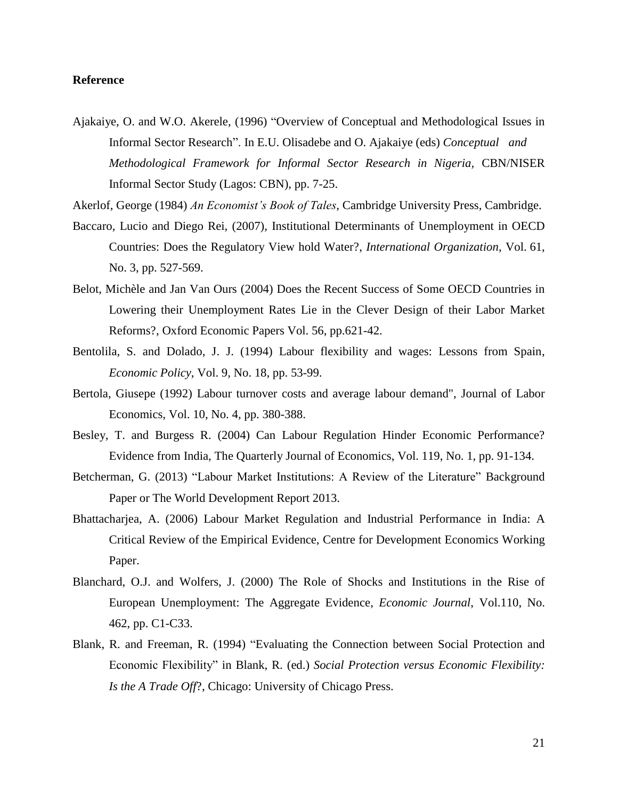## **Reference**

- Ajakaiye, O. and W.O. Akerele, (1996) "Overview of Conceptual and Methodological Issues in Informal Sector Research". In E.U. Olisadebe and O. Ajakaiye (eds) *Conceptual and Methodological Framework for Informal Sector Research in Nigeria,* CBN/NISER Informal Sector Study (Lagos: CBN), pp. 7-25.
- Akerlof, George (1984) *An Economist's Book of Tales*, Cambridge University Press, Cambridge.
- Baccaro, Lucio and Diego Rei, (2007), Institutional Determinants of Unemployment in OECD Countries: Does the Regulatory View hold Water?, *[International Organization](http://journals.cambridge.org/action/displayJournal?jid=INO)*, Vol. 61, No. 3, pp. 527-569.
- Belot, Michèle and Jan Van Ours (2004) Does the Recent Success of Some OECD Countries in Lowering their Unemployment Rates Lie in the Clever Design of their Labor Market Reforms?, Oxford Economic Papers Vol. 56, pp.621-42.
- Bentolila, S. and Dolado, J. J. (1994) Labour flexibility and wages: Lessons from Spain, *Economic Policy*, Vol. 9, No. 18, pp. 53-99.
- Bertola, Giusepe (1992) Labour turnover costs and average labour demand", [Journal of Labor](http://ideas.repec.org/a/ucp/jlabec/v10y1992i4p389-411.html)  Economics, [Vol. 10, No. 4, pp. 380-388.](http://ideas.repec.org/a/ucp/jlabec/v10y1992i4p389-411.html)
- Besley, T. and Burgess R. (2004) Can Labour Regulation Hinder Economic Performance? Evidence from India, The Quarterly Journal of Economics, Vol. 119, No. 1, pp. 91-134.
- Betcherman, G. (2013) "Labour Market Institutions: A Review of the Literature" Background Paper or The World Development Report 2013.
- Bhattacharjea, A. (2006) Labour Market Regulation and Industrial Performance in India: A Critical Review of the Empirical Evidence, Centre for Development Economics Working Paper.
- Blanchard, O.J. and Wolfers, J. (2000) The Role of Shocks and Institutions in the Rise of European Unemployment: The Aggregate Evidence, *Economic Journal*, Vol.110, No. 462, pp. C1-C33.
- Blank, R. and Freeman, R. (1994) "Evaluating the Connection between Social Protection and Economic Flexibility" in Blank, R. (ed.) *Social Protection versus Economic Flexibility: Is the A Trade Off*?, Chicago: University of Chicago Press.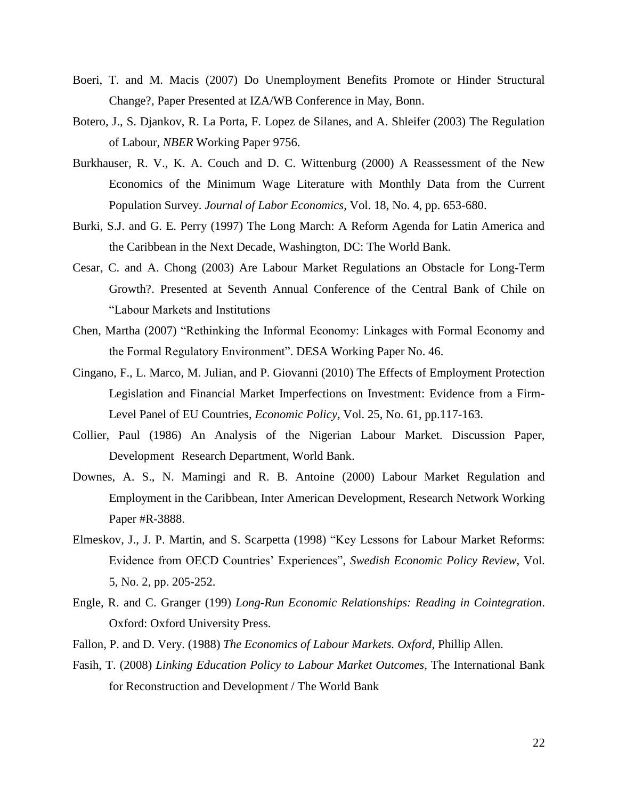- Boeri, T. and M. Macis (2007) Do Unemployment Benefits Promote or Hinder Structural Change?, Paper Presented at IZA/WB Conference in May, Bonn.
- Botero, J., S. Djankov, R. La Porta, F. Lopez de Silanes, and A. Shleifer (2003) The Regulation of Labour, *NBER* Working Paper 9756.
- Burkhauser, R. V., K. A. Couch and D. C. Wittenburg (2000) A Reassessment of the New Economics of the Minimum Wage Literature with Monthly Data from the Current Population Survey. *Journal of Labor Economics*, Vol. 18, No. 4, pp. 653-680.
- Burki, S.J. and G. E. Perry (1997) The Long March: A Reform Agenda for Latin America and the Caribbean in the Next Decade, Washington, DC: The World Bank.
- Cesar, C. and A. Chong (2003) Are Labour Market Regulations an Obstacle for Long-Term Growth?. Presented at Seventh Annual Conference of the Central Bank of Chile on "Labour Markets and Institutions
- Chen, Martha (2007) "Rethinking the Informal Economy: Linkages with Formal Economy and the Formal Regulatory Environment". DESA Working Paper No. 46.
- Cingano, F., L. Marco, M. Julian, and P. Giovanni (2010) The Effects of Employment Protection Legislation and Financial Market Imperfections on Investment: Evidence from a Firm-Level Panel of EU Countries, *Economic Policy,* Vol. 25, No. 61, pp.117-163.
- Collier, Paul (1986) An Analysis of the Nigerian Labour Market. Discussion Paper, Development Research Department, World Bank.
- Downes, A. S., N. Mamingi and R. B. Antoine (2000) Labour Market Regulation and Employment in the Caribbean, Inter American Development, Research Network Working Paper #R-3888.
- Elmeskov, J., J. P. Martin, and S. Scarpetta (1998) "Key Lessons for Labour Market Reforms: Evidence from OECD Countries' Experiences", *Swedish Economic Policy Review*, Vol. 5, No. 2, pp. 205-252.
- Engle, R. and C. Granger (199) *Long-Run Economic Relationships: Reading in Cointegration*. Oxford: Oxford University Press.
- Fallon, P. and D. Very. (1988) *The Economics of Labour Markets. Oxford*, Phillip Allen.
- Fasih, T. (2008) *Linking Education Policy to Labour Market Outcomes*, The International Bank for Reconstruction and Development / The World Bank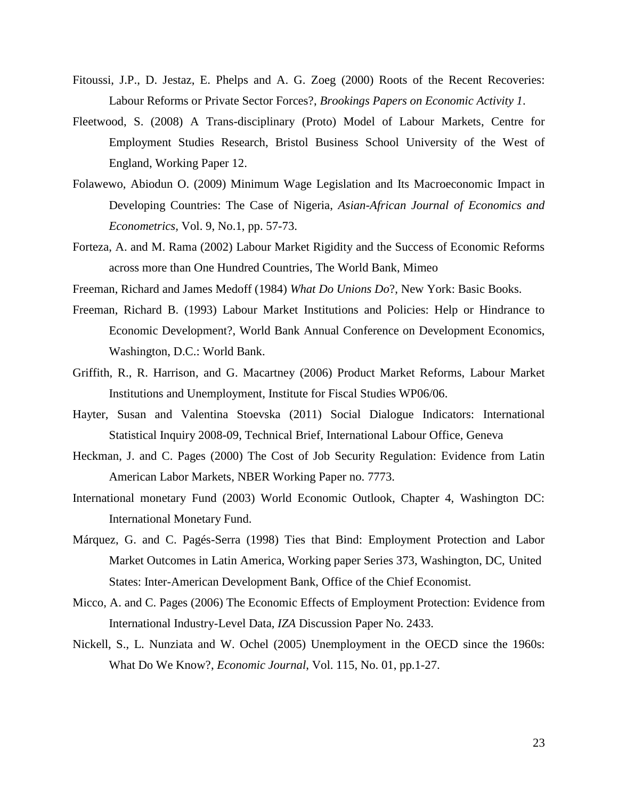- Fitoussi, J.P., D. Jestaz, E. Phelps and A. G. Zoeg (2000) Roots of the Recent Recoveries: Labour Reforms or Private Sector Forces?, *Brookings Papers on Economic Activity 1*.
- Fleetwood, S. (2008) A Trans-disciplinary (Proto) Model of Labour Markets, Centre for Employment Studies Research, Bristol Business School University of the West of England, Working Paper 12.
- Folawewo, Abiodun O. (2009) Minimum Wage Legislation and Its Macroeconomic Impact in Developing Countries: The Case of Nigeria, *Asian-African Journal of Economics and Econometrics,* Vol. 9, No.1, pp. 57-73.
- Forteza, A. and M. Rama (2002) Labour Market Rigidity and the Success of Economic Reforms across more than One Hundred Countries, The World Bank, Mimeo

Freeman, Richard and James Medoff (1984) *What Do Unions Do*?, New York: Basic Books.

- Freeman, Richard B. (1993) Labour Market Institutions and Policies: Help or Hindrance to Economic Development?, World Bank Annual Conference on Development Economics, Washington, D.C.: World Bank.
- Griffith, R., R. Harrison, and G. Macartney (2006) Product Market Reforms, Labour Market Institutions and Unemployment, Institute for Fiscal Studies WP06/06.
- Hayter, Susan and Valentina Stoevska (2011) Social Dialogue Indicators: International Statistical Inquiry 2008-09, Technical Brief, International Labour Office, Geneva
- Heckman, J. and C. Pages (2000) The Cost of Job Security Regulation: Evidence from Latin American Labor Markets, NBER Working Paper no. 7773.
- International monetary Fund (2003) World Economic Outlook, Chapter 4, Washington DC: International Monetary Fund.
- Márquez, G. and C. Pagés-Serra (1998) Ties that Bind: Employment Protection and Labor Market Outcomes in Latin America, Working paper Series 373, Washington, DC, United States: Inter-American Development Bank, Office of the Chief Economist.
- Micco, A. and C. Pages (2006) The Economic Effects of Employment Protection: Evidence from International Industry-Level Data, *IZA* Discussion Paper No. 2433.
- Nickell, S., L. Nunziata and W. Ochel (2005) Unemployment in the OECD since the 1960s: What Do We Know?, *Economic Journal*, Vol. 115, No. 01, pp.1-27.